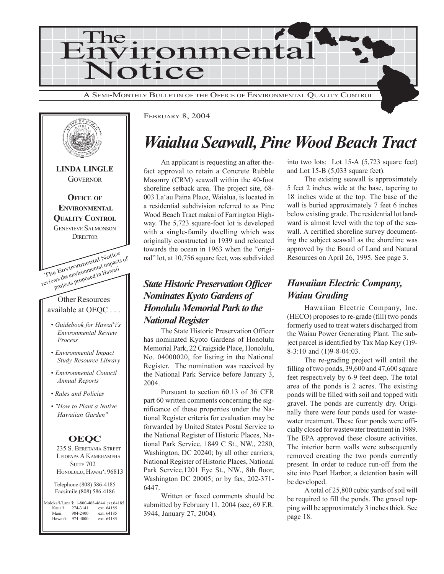



FEBRUARY 8, 2004

## *Waialua Seawall, Pine Wood Beach Tract*

An applicant is requesting an after-thefact approval to retain a Concrete Rubble Masonry (CRM) seawall within the 40-foot shoreline setback area. The project site, 68- 003 La'au Paina Place, Waialua, is located in a residential subdivision referred to as Pine Wood Beach Tract makai of Farrington Highway. The 5,723 square-foot lot is developed with a single-family dwelling which was originally constructed in 1939 and relocated towards the ocean in 1963 when the "original" lot, at 10,756 square feet, was subdivided

#### *State Historic Preservation Officer Nominates Kyoto Gardens of Honolulu Memorial Park to the National Register*

The State Historic Preservation Officer has nominated Kyoto Gardens of Honolulu Memorial Park, 22 Craigside Place, Honolulu, No. 04000020, for listing in the National Register. The nomination was received by the National Park Service before January 3, 2004.

Pursuant to section 60.13 of 36 CFR part 60 written comments concerning the significance of these properties under the National Register criteria for evaluation may be forwarded by United States Postal Service to the National Register of Historic Places, National Park Service, 1849 C St., NW., 2280, Washington, DC 20240; by all other carriers, National Register of Historic Places, National Park Service,1201 Eye St., NW., 8th floor, Washington DC 20005; or by fax, 202-371- 6447.

Written or faxed comments should be submitted by February 11, 2004 (see, 69 F.R. 3944, January 27, 2004).

into two lots: Lot 15-A (5,723 square feet) and Lot 15-B (5,033 square feet).

The existing seawall is approximately 5 feet 2 inches wide at the base, tapering to 18 inches wide at the top. The base of the wall is buried approximately 7 feet 6 inches below existing grade. The residential lot landward is almost level with the top of the seawall. A certified shoreline survey documenting the subject seawall as the shoreline was approved by the Board of Land and Natural Resources on April 26, 1995. See page 3.

#### *Hawaiian Electric Company, Waiau Grading*

Hawaiian Electric Company, Inc. (HECO) proposes to re-grade (fill) two ponds formerly used to treat waters discharged from the Waiau Power Generating Plant. The subject parcel is identified by Tax Map Key (1)9- 8-3:10 and (1)9-8-04:03.

The re-grading project will entail the filling of two ponds, 39,600 and 47,600 square feet respectively by 6-9 feet deep. The total area of the ponds is 2 acres. The existing ponds will be filled with soil and topped with gravel. The ponds are currently dry. Originally there were four ponds used for wastewater treatment. These four ponds were officially closed for wastewater treatment in 1989. The EPA approved these closure activities. The interior berm walls were subsequently removed creating the two ponds currently present. In order to reduce run-off from the site into Pearl Harbor, a detention basin will be developed.

A total of 25,800 cubic yards of soil will be required to fill the ponds. The gravel topping will be approximately 3 inches thick. See page 18.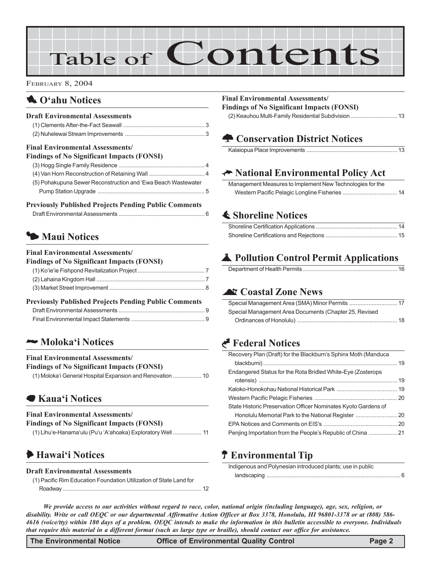# Table of Contents

#### FEBRUARY 8, 2004

#### 1 **O'ahu Notices**

| <b>Draft Environmental Assessments</b>                        |  |
|---------------------------------------------------------------|--|
|                                                               |  |
| <b>Final Environmental Assessments</b>                        |  |
| <b>Findings of No Significant Impacts (FONSI)</b>             |  |
|                                                               |  |
|                                                               |  |
| (5) Pohakupuna Sewer Reconstruction and 'Ewa Beach Wastewater |  |
|                                                               |  |
| <b>Previously Published Projects Pending Public Comments</b>  |  |

#### Draft Environmental Assessments ...................................................... 6

#### $\blacktriangleright$  **Maui Notices**

#### **Final Environmental Assessments/ Findings of No Significant Impacts (FONSI)** (1) Ko'ie'ie Fishpond Revitalization Project .......................................... 7 (2) Lahaina Kingdom Hall .................................................................... 7 (3) Market Street Improvement............................................................ 8 **Previously Published Projects Pending Public Comments** Draft Environmental Assessments

#### 2 **Moloka'i Notices**

#### **Final Environmental Assessments/**

**Findings of No Significant Impacts (FONSI)** (1) Moloka'i General Hospital Expansion and Renovation .................. 10

#### 7 **Kaua'i Notices**

#### **Final Environmental Assessments/**

**Findings of No Significant Impacts (FONSI)**

| (1) Lihu'e-Hanama'ulu (Pu'u 'A'ahoaka) Exploratory Well 11 |  |
|------------------------------------------------------------|--|
|                                                            |  |

#### 6 **Hawai'i Notices**

#### **Draft Environmental Assessments**

(1) Pacific Rim Education Foundation Utilization of State Land for Roadway ....................................................................................... 12

#### **Final Environmental Assessments/**

**Findings of No Significant Impacts (FONSI)** (2) Keauhou Multi-Family Residential Subdivision ............................. 13

#### **A Conservation District Notices**

#### K **National Environmental Policy Act**

| Management Measures to Implement New Technologies for the |  |
|-----------------------------------------------------------|--|
|                                                           |  |

#### s **Shoreline Notices**

#### V **Pollution Control Permit Applications**

#### ^ **Coastal Zone News**

| Special Management Area Documents (Chapter 25, Revised |
|--------------------------------------------------------|
|                                                        |

#### G **Federal Notices**

| Recovery Plan (Draft) for the Blackburn's Sphinx Moth (Manduca |  |
|----------------------------------------------------------------|--|
|                                                                |  |
| Endangered Status for the Rota Bridled White-Eye (Zosterops    |  |
|                                                                |  |
|                                                                |  |
|                                                                |  |
| State Historic Preservation Officer Nominates Kyoto Gardens of |  |
|                                                                |  |
|                                                                |  |
|                                                                |  |

#### P **Environmental Tip**

| Indigenous and Polynesian introduced plants; use in public |  |
|------------------------------------------------------------|--|
|                                                            |  |

*We provide access to our activities without regard to race, color, national origin (including language), age, sex, religion, or disability. Write or call OEQC or our departmental Affirmative Action Officer at Box 3378, Honolulu, HI 96801-3378 or at (808) 586- 4616 (voice/tty) within 180 days of a problem. OEQC intends to make the information in this bulletin accessible to everyone. Individuals that require this material in a different format (such as large type or braille), should contact our office for assistance.*

**The Environmental Notice Office of Environmental Quality Control Page 2**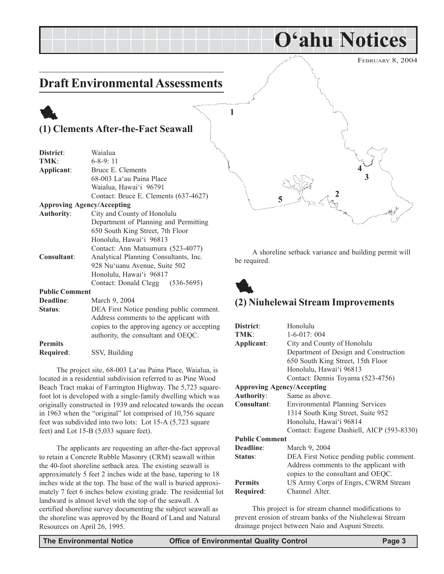FEBRUARY 8, 2004

### **Draft Environmental Assessments**

### 1 **(1) Clements After-the-Fact Seawall**

| District:             | Waialua                                  |
|-----------------------|------------------------------------------|
| TMK:                  | $6 - 8 - 9$ : 11                         |
| Applicant:            | Bruce E. Clements                        |
|                       | 68-003 La'au Paina Place                 |
|                       | Waialua, Hawai'i 96791                   |
|                       | Contact: Bruce E. Clements (637-4627)    |
|                       | <b>Approving Agency/Accepting</b>        |
| <b>Authority:</b>     | City and County of Honolulu              |
|                       | Department of Planning and Permitting    |
|                       | 650 South King Street, 7th Floor         |
|                       | Honolulu, Hawai'i 96813                  |
|                       | Contact: Ann Matsumura (523-4077)        |
| Consultant:           | Analytical Planning Consultants, Inc.    |
|                       | 928 Nu'uanu Avenue, Suite 502            |
|                       | Honolulu, Hawai'i 96817                  |
|                       | Contact: Donald Clegg (536-5695)         |
| <b>Public Comment</b> |                                          |
| <b>Deadline:</b>      | March 9, 2004                            |
| Status:               | DEA First Notice pending public comment. |
|                       | Address comments to the applicant with   |

**Permits Required**: SSV, Building

The project site, 68-003 La'au Paina Place, Waialua, is located in a residential subdivision referred to as Pine Wood Beach Tract makai of Farrington Highway. The 5,723 squarefoot lot is developed with a single-family dwelling which was originally constructed in 1939 and relocated towards the ocean in 1963 when the "original" lot comprised of 10,756 square feet was subdivided into two lots: Lot 15-A (5,723 square feet) and Lot 15-B (5,033 square feet).

copies to the approving agency or accepting authority, the consultant and OEQC.

The applicants are requesting an after-the-fact approval to retain a Concrete Rubble Masonry (CRM) seawall within the 40-foot shoreline setback area. The existing seawall is approximately 5 feet 2 inches wide at the base, tapering to 18 inches wide at the top. The base of the wall is buried approximately 7 feet 6 inches below existing grade. The residential lot landward is almost level with the top of the seawall. A certified shoreline survey documenting the subject seawall as the shoreline was approved by the Board of Land and Natural Resources on April 26, 1995.

**5 1 3 2 4**

**O'ahu Notices**

A shoreline setback variance and building permit will be required.



#### **(2) Niuhelewai Stream Improvements**

| District:                         | Honolulu                                  |  |  |
|-----------------------------------|-------------------------------------------|--|--|
| TMK:                              | $1-6-017:004$                             |  |  |
| Applicant:                        | City and County of Honolulu               |  |  |
|                                   | Department of Design and Construction     |  |  |
|                                   | 650 South King Street, 15th Floor         |  |  |
|                                   | Honolulu, Hawai'i 96813                   |  |  |
|                                   | Contact: Dennis Toyama (523-4756)         |  |  |
| <b>Approving Agency/Accepting</b> |                                           |  |  |
| <b>Authority:</b>                 | Same as above.                            |  |  |
| Consultant:                       | Environmental Planning Services           |  |  |
|                                   | 1314 South King Street, Suite 952         |  |  |
|                                   | Honolulu, Hawai'i 96814                   |  |  |
|                                   | Contact: Eugene Dashiell, AICP (593-8330) |  |  |
| <b>Public Comment</b>             |                                           |  |  |
| Deadline:                         | March 9, 2004                             |  |  |
| Status:                           | DEA First Notice pending public comment.  |  |  |
|                                   | Address comments to the applicant with    |  |  |
|                                   | copies to the consultant and OEQC.        |  |  |
| <b>Permits</b>                    | US Army Corps of Engrs, CWRM Stream       |  |  |
| Required:                         | Channel Alter.                            |  |  |
|                                   |                                           |  |  |

This project is for stream channel modifications to prevent erosion of stream banks of the Niuhelewai Stream drainage project between Naio and Aupuni Streets.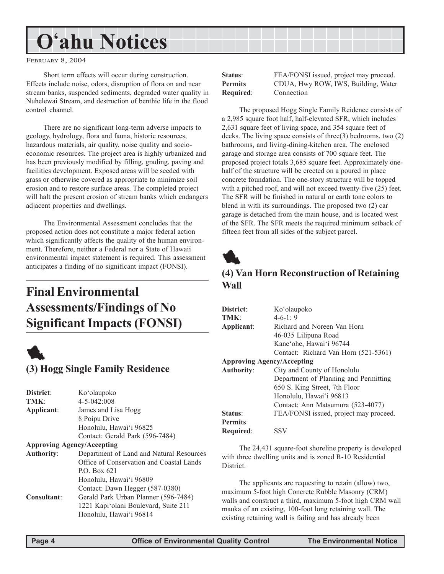# **O'ahu Notices**

FEBRUARY 8, 2004

Short term effects will occur during construction. Effects include noise, odors, disruption of flora on and near stream banks, suspended sediments, degraded water quality in Nuhelewai Stream, and destruction of benthic life in the flood control channel.

There are no significant long-term adverse impacts to geology, hydrology, flora and fauna, historic resources, hazardous materials, air quality, noise quality and socioeconomic resources. The project area is highly urbanized and has been previously modified by filling, grading, paving and facilities development. Exposed areas will be seeded with grass or otherwise covered as appropriate to minimize soil erosion and to restore surface areas. The completed project will halt the present erosion of stream banks which endangers adjacent properties and dwellings.

The Environmental Assessment concludes that the proposed action does not constitute a major federal action which significantly affects the quality of the human environment. Therefore, neither a Federal nor a State of Hawaii environmental impact statement is required. This assessment anticipates a finding of no significant impact (FONSI).

### **Final Environmental Assessments/Findings of No Significant Impacts (FONSI)**



| District:         | Ko'olaupoko                              |
|-------------------|------------------------------------------|
| TMK:              | $4 - 5 - 042:008$                        |
| Applicant:        | James and Lisa Hogg                      |
|                   | 8 Poipu Drive                            |
|                   | Honolulu, Hawai'i 96825                  |
|                   | Contact: Gerald Park (596-7484)          |
|                   | <b>Approving Agency/Accepting</b>        |
| <b>Authority:</b> | Department of Land and Natural Resources |
|                   | Office of Conservation and Coastal Lands |
|                   | P.O. Box 621                             |
|                   | Honolulu, Hawai'i 96809                  |
|                   | Contact: Dawn Hegger (587-0380)          |
| Consultant:       | Gerald Park Urban Planner (596-7484)     |
|                   | 1221 Kapi'olani Boulevard, Suite 211     |
|                   | Honolulu, Hawai'i 96814                  |
|                   |                                          |

**Required**: Connection

**Status**: FEA/FONSI issued, project may proceed. **Permits** CDUA, Hwy ROW, IWS, Building, Water

The proposed Hogg Single Family Reidence consists of a 2,985 square foot half, half-elevated SFR, which includes 2,631 square feet of living space, and 354 square feet of decks. The living space consists of three(3) bedrooms, two (2) bathrooms, and living-dining-kitchen area. The enclosed garage and storage area consists of 700 square feet. The proposed project totals 3,685 square feet. Approximately onehalf of the structure will be erected on a poured in place concrete foundation. The one-story structure will be topped with a pitched roof, and will not exceed twenty-five (25) feet. The SFR will be finished in natural or earth tone colors to blend in with its surroundings. The proposed two (2) car garage is detached from the main house, and is located west of the SFR. The SFR meets the required minimum setback of fifteen feet from all sides of the subject parcel.



#### **(4) Van Horn Reconstruction of Retaining Wall**

| District:                         | Ko'olaupoko                            |
|-----------------------------------|----------------------------------------|
| <b>TMK·</b>                       | $4-6-1:9$                              |
| Applicant:                        | Richard and Noreen Van Horn            |
|                                   | 46-035 Lilipuna Road                   |
|                                   | Kane'ohe, Hawai'i 96744                |
|                                   | Contact: Richard Van Horn (521-5361)   |
| <b>Approving Agency/Accepting</b> |                                        |
| Authority:                        | City and County of Honolulu            |
|                                   | Department of Planning and Permitting  |
|                                   | 650 S. King Street, 7th Floor          |
|                                   | Honolulu, Hawai'i 96813                |
|                                   | Contact: Ann Matsumura (523-4077)      |
| Status:                           | FEA/FONSI issued, project may proceed. |
| <b>Permits</b>                    |                                        |
| Required:                         | SSV                                    |

The 24,431 square-foot shoreline property is developed with three dwelling units and is zoned R-10 Residential District.

The applicants are requesting to retain (allow) two, maximum 5-foot high Concrete Rubble Masonry (CRM) walls and construct a third, maximum 5-foot high CRM wall mauka of an existing, 100-foot long retaining wall. The existing retaining wall is failing and has already been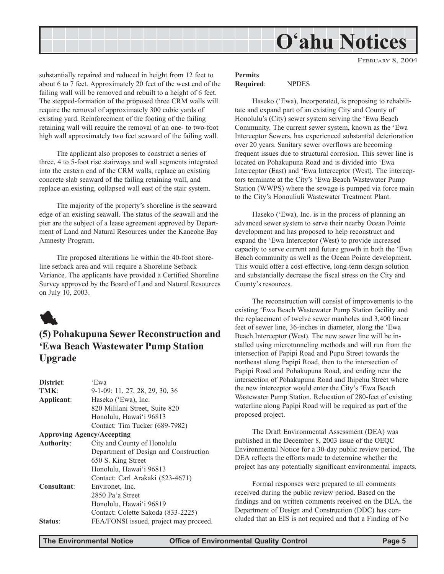

FEBRUARY 8, 2004

substantially repaired and reduced in height from 12 feet to about 6 to 7 feet. Approximately 20 feet of the west end of the failing wall will be removed and rebuilt to a height of 6 feet. The stepped-formation of the proposed three CRM walls will require the removal of approximately 300 cubic yards of existing yard. Reinforcement of the footing of the failing retaining wall will require the removal of an one- to two-foot high wall approximately two feet seaward of the failing wall.

The applicant also proposes to construct a series of three, 4 to 5-foot rise stairways and wall segments integrated into the eastern end of the CRM walls, replace an existing concrete slab seaward of the failing retaining wall, and replace an existing, collapsed wall east of the stair system.

The majority of the property's shoreline is the seaward edge of an existing seawall. The status of the seawall and the pier are the subject of a lease agreement approved by Department of Land and Natural Resources under the Kaneohe Bay Amnesty Program.

The proposed alterations lie within the 40-foot shoreline setback area and will require a Shoreline Setback Variance. The applicants have provided a Certified Shoreline Survey approved by the Board of Land and Natural Resources on July 10, 2003.



#### **(5) Pohakupuna Sewer Reconstruction and 'Ewa Beach Wastewater Pump Station Upgrade**

| District:                         | 'Ewa                                   |
|-----------------------------------|----------------------------------------|
| TMK:                              | 9-1-09: 11, 27, 28, 29, 30, 36         |
| Applicant:                        | Haseko ('Ewa), Inc.                    |
|                                   | 820 Mililani Street, Suite 820         |
|                                   | Honolulu, Hawai'i 96813                |
|                                   | Contact: Tim Tucker (689-7982)         |
| <b>Approving Agency/Accepting</b> |                                        |
| <b>Authority:</b>                 | City and County of Honolulu            |
|                                   | Department of Design and Construction  |
|                                   | 650 S. King Street                     |
|                                   | Honolulu, Hawai'i 96813                |
|                                   | Contact: Carl Arakaki (523-4671)       |
| <b>Consultant:</b>                | Environet, Inc.                        |
|                                   | 2850 Pa'a Street                       |
|                                   | Honolulu, Hawai'i 96819                |
|                                   | Contact: Colette Sakoda (833-2225)     |
| Status:                           | FEA/FONSI issued, project may proceed. |

#### **Permits Required**: NPDES

Haseko ('Ewa), Incorporated, is proposing to rehabilitate and expand part of an existing City and County of Honolulu's (City) sewer system serving the 'Ewa Beach Community. The current sewer system, known as the 'Ewa Interceptor Sewers, has experienced substantial deterioration over 20 years. Sanitary sewer overflows are becoming frequent issues due to structural corrosion. This sewer line is located on Pohakupuna Road and is divided into 'Ewa Interceptor (East) and 'Ewa Interceptor (West). The interceptors terminate at the City's 'Ewa Beach Wastewater Pump Station (WWPS) where the sewage is pumped via force main to the City's Honouliuli Wastewater Treatment Plant.

Haseko ('Ewa), Inc. is in the process of planning an advanced sewer system to serve their nearby Ocean Pointe development and has proposed to help reconstruct and expand the 'Ewa Interceptor (West) to provide increased capacity to serve current and future growth in both the 'Ewa Beach community as well as the Ocean Pointe development. This would offer a cost-effective, long-term design solution and substantially decrease the fiscal stress on the City and County's resources.

The reconstruction will consist of improvements to the existing 'Ewa Beach Wastewater Pump Station facility and the replacement of twelve sewer manholes and 3,400 linear feet of sewer line, 36-inches in diameter, along the 'Ewa Beach Interceptor (West). The new sewer line will be installed using microtunneling methods and will run from the intersection of Papipi Road and Pupu Street towards the northeast along Papipi Road, then to the intersection of Papipi Road and Pohakupuna Road, and ending near the intersection of Pohakupuna Road and Ihipehu Street where the new interceptor would enter the City's 'Ewa Beach Wastewater Pump Station. Relocation of 280-feet of existing waterline along Papipi Road will be required as part of the proposed project.

The Draft Environmental Assessment (DEA) was published in the December 8, 2003 issue of the OEQC Environmental Notice for a 30-day public review period. The DEA reflects the efforts made to determine whether the project has any potentially significant environmental impacts.

Formal responses were prepared to all comments received during the public review period. Based on the findings and on written comments received on the DEA, the Department of Design and Construction (DDC) has concluded that an EIS is not required and that a Finding of No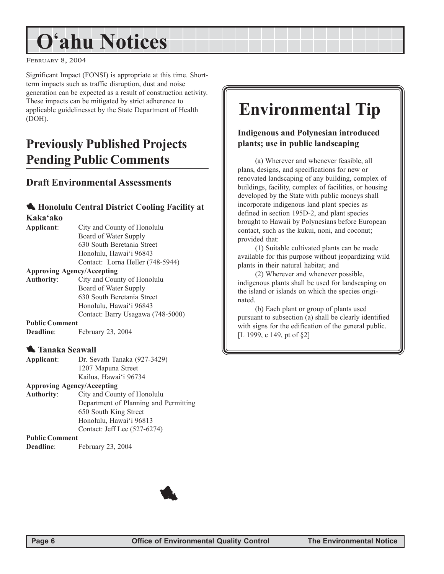# **O'ahu Notices**

FEBRUARY 8, 2004

Significant Impact (FONSI) is appropriate at this time. Shortterm impacts such as traffic disruption, dust and noise generation can be expected as a result of construction activity. These impacts can be mitigated by strict adherence to applicable guidelinesset by the State Department of Health (DOH).

### **Previously Published Projects Pending Public Comments**

#### **Draft Environmental Assessments**

#### 1 **Honolulu Central District Cooling Facility at Kaka'ako**

| City and County of Honolulu       |
|-----------------------------------|
| Board of Water Supply             |
| 630 South Beretania Street        |
| Honolulu, Hawai'i 96843           |
| Contact: Lorna Heller (748-5944)  |
| <b>Approving Agency/Accepting</b> |
| City and County of Honolulu       |
| Board of Water Supply             |
| 630 South Beretania Street        |
| Honolulu, Hawai'i 96843           |
| Contact: Barry Usagawa (748-5000) |
| <b>Public Comment</b>             |
| February 23, 2004                 |
|                                   |
| <b>W.</b> Tanaka Seawall          |
|                                   |

| Applicant: | Dr. Sevath Tanaka (927-3429) |
|------------|------------------------------|
|            | 1207 Mapuna Street           |
|            | Kailua, Hawai'i 96734        |

#### **Approving Agency/Accepting**

**Authority**: City and County of Honolulu Department of Planning and Permitting 650 South King Street Honolulu, Hawai'i 96813 Contact: Jeff Lee (527-6274)

#### **Public Comment**

**Deadline**: February 23, 2004

## **Environmental Tip**

#### **Indigenous and Polynesian introduced plants; use in public landscaping**

(a) Wherever and whenever feasible, all plans, designs, and specifications for new or renovated landscaping of any building, complex of buildings, facility, complex of facilities, or housing developed by the State with public moneys shall incorporate indigenous land plant species as defined in section 195D-2, and plant species brought to Hawaii by Polynesians before European contact, such as the kukui, noni, and coconut; provided that:

(1) Suitable cultivated plants can be made available for this purpose without jeopardizing wild plants in their natural habitat; and

(2) Wherever and whenever possible, indigenous plants shall be used for landscaping on the island or islands on which the species originated.

(b) Each plant or group of plants used pursuant to subsection (a) shall be clearly identified with signs for the edification of the general public. [L 1999, c 149, pt of §2]

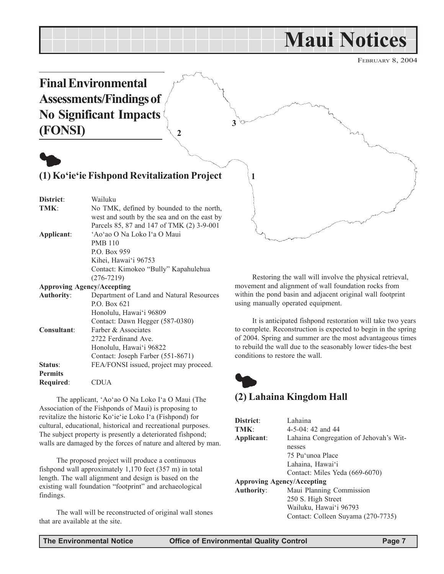## **Maui Notices**

FEBRUARY 8, 2004



|                  | TIUIIUIUI, TIAWAI I 70007              |
|------------------|----------------------------------------|
|                  | Contact: Dawn Hegger (587-0380)        |
| Consultant:      | Farber & Associates                    |
|                  | 2722 Ferdinand Ave.                    |
|                  | Honolulu, Hawai'i 96822                |
|                  | Contact: Joseph Farber (551-8671)      |
| Status:          | FEA/FONSI issued, project may proceed. |
| <b>Permits</b>   |                                        |
| <b>Required:</b> | CDUA                                   |
|                  |                                        |

The applicant, 'Ao'ao O Na Loko I'a O Maui (The Association of the Fishponds of Maui) is proposing to revitalize the historic Ko'ie'ie Loko I'a (Fishpond) for cultural, educational, historical and recreational purposes. The subject property is presently a deteriorated fishpond; walls are damaged by the forces of nature and altered by man.

The proposed project will produce a continuous fishpond wall approximately 1,170 feet (357 m) in total length. The wall alignment and design is based on the existing wall foundation "footprint" and archaeological findings.

The wall will be reconstructed of original wall stones that are available at the site.

to complete. Reconstruction is expected to begin in the spring of 2004. Spring and summer are the most advantageous times to rebuild the wall due to the seasonably lower tides-the best conditions to restore the wall.



#### **(2) Lahaina Kingdom Hall**

| Lahaina                                |
|----------------------------------------|
| $4-5-04$ : 42 and 44                   |
| Lahaina Congregation of Jehovah's Wit- |
| nesses                                 |
| 75 Pu'unoa Place                       |
| Lahaina, Hawai'i                       |
| Contact: Miles Yeda (669-6070)         |
| <b>Approving Agency/Accepting</b>      |
| Maui Planning Commission               |
| 250 S. High Street                     |
| Wailuku, Hawai'i 96793                 |
| Contact: Colleen Suyama (270-7735)     |
|                                        |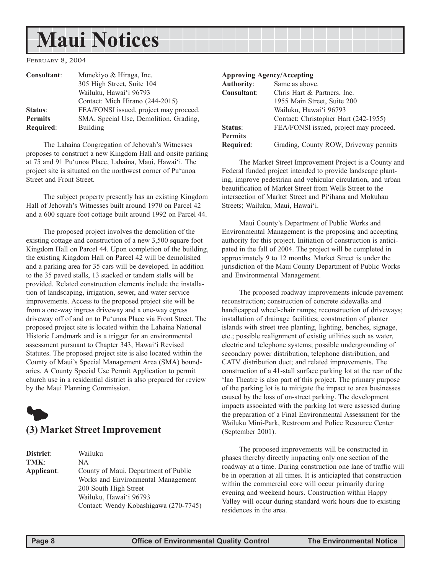## **Maui Notices**

FEBRUARY 8, 2004

| Consultant:    | Munekiyo & Hiraga, Inc.                |
|----------------|----------------------------------------|
|                | 305 High Street, Suite 104             |
|                | Wailuku, Hawai'i 96793                 |
|                | Contact: Mich Hirano (244-2015)        |
| Status:        | FEA/FONSI issued, project may proceed. |
| <b>Permits</b> | SMA, Special Use, Demolition, Grading, |
| Required:      | Building                               |

The Lahaina Congregation of Jehovah's Witnesses proposes to construct a new Kingdom Hall and onsite parking at 75 and 91 Pu'unoa Place, Lahaina, Maui, Hawai'i. The project site is situated on the northwest corner of Pu'unoa Street and Front Street.

The subject property presently has an existing Kingdom Hall of Jehovah's Witnesses built around 1970 on Parcel 42 and a 600 square foot cottage built around 1992 on Parcel 44.

The proposed project involves the demolition of the existing cottage and construction of a new 3,500 square foot Kingdom Hall on Parcel 44. Upon completion of the building, the existing Kingdom Hall on Parcel 42 will be demolished and a parking area for 35 cars will be developed. In addition to the 35 paved stalls, 13 stacked or tandem stalls will be provided. Related construction elements include the installation of landscaping, irrigation, sewer, and water service improvements. Access to the proposed project site will be from a one-way ingress driveway and a one-way egress driveway off of and on to Pu'unoa Place via Front Street. The proposed project site is located within the Lahaina National Historic Landmark and is a trigger for an environmental assessment pursuant to Chapter 343, Hawai'i Revised Statutes. The proposed project site is also located within the County of Maui's Special Management Area (SMA) boundaries. A County Special Use Permit Application to permit church use in a residential district is also prepared for review by the Maui Planning Commission.



| <b>District:</b> | Wailuku                               |
|------------------|---------------------------------------|
| TMK:             | NA.                                   |
| Applicant:       | County of Maui, Department of Public  |
|                  | Works and Environmental Management    |
|                  | 200 South High Street                 |
|                  | Wailuku, Hawai'i 96793                |
|                  | Contact: Wendy Kobashigawa (270-7745) |

#### **Approving Agency/Accepting**

| <b>Authority:</b> | Same as above.                         |
|-------------------|----------------------------------------|
| Consultant:       | Chris Hart & Partners, Inc.            |
|                   | 1955 Main Street, Suite 200            |
|                   | Wailuku, Hawai'i 96793                 |
|                   | Contact: Christopher Hart (242-1955)   |
| Status:           | FEA/FONSI issued, project may proceed. |
| <b>Permits</b>    |                                        |
| Required:         | Grading, County ROW, Driveway permits  |
|                   |                                        |

The Market Street Improvement Project is a County and Federal funded project intended to provide landscape planting, improve pedestrian and vehicular circulation, and urban beautification of Market Street from Wells Street to the intersection of Market Street and Pi'ihana and Mokuhau Streets; Wailuku, Maui, Hawai'i.

Maui County's Department of Public Works and Environmental Management is the proposing and accepting authority for this project. Initiation of construction is anticipated in the fall of 2004. The project will be completed in approximately 9 to 12 months. Market Street is under the jurisdiction of the Maui County Department of Public Works and Environmental Management.

The proposed roadway improvements inlcude pavement reconstruction; construction of concrete sidewalks and handicapped wheel-chair ramps; reconstruction of driveways; installation of drainage facilities; construction of planter islands with street tree planting, lighting, benches, signage, etc.; possible realignment of existig utilities such as water, electric and telephone systems; possible undergrounding of secondary power distribution, telephone distribution, and CATV distribution duct; and related improvements. The construction of a 41-stall surface parking lot at the rear of the 'Iao Theatre is also part of this project. The primary purpose of the parking lot is to mitigate the impact to area businesses caused by the loss of on-street parking. The development impacts associated with the parking lot were assessed during the preparation of a Final Environmental Assessment for the Wailuku Mini-Park, Restroom and Police Resource Center (September 2001).

The proposed improvements will be constructed in phases thereby directly impacting only one section of the roadway at a time. During construction one lane of traffic will be in operation at all times. It is anticiapted that construction within the commercial core will occur primarily during evening and weekend hours. Construction within Happy Valley will occur during standard work hours due to existing residences in the area.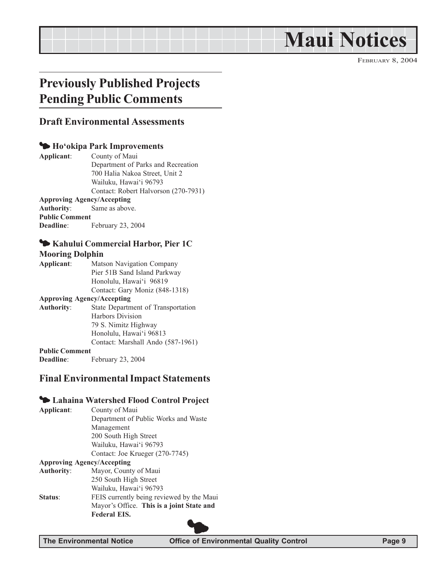# **Maui Notices**

FEBRUARY 8, 2004

### **Previously Published Projects Pending Public Comments**

#### **Draft Environmental Assessments**

#### 3 **Ho'okipa Park Improvements**

**Applicant**: County of Maui Department of Parks and Recreation 700 Halia Nakoa Street, Unit 2 Wailuku, Hawai'i 96793 Contact: Robert Halvorson (270-7931) **Approving Agency/Accepting Authority**: Same as above. **Public Comment Deadline**: February 23, 2004

#### 3 **Kahului Commercial Harbor, Pier 1C**

#### **Mooring Dolphin**

**Applicant**: Matson Navigation Company Pier 51B Sand Island Parkway Honolulu, Hawai'i 96819 Contact: Gary Moniz (848-1318) **Approving Agency/Accepting Authority**: State Department of Transportation Harbors Division 79 S. Nimitz Highway Honolulu, Hawai'i 96813 Contact: Marshall Ando (587-1961) **Public Comment**

**Deadline**: February 23, 2004

#### **Final Environmental Impact Statements**

#### 3 **Lahaina Watershed Flood Control Project**

**Applicant**: County of Maui Department of Public Works and Waste Management 200 South High Street Wailuku, Hawai'i 96793 Contact: Joe Krueger (270-7745) **Approving Agency/Accepting Authority**: Mayor, County of Maui 250 South High Street Wailuku, Hawai'i 96793 **Status:** FEIS currently being reviewed by the Maui Mayor's Office. **This is a joint State and Federal EIS.**

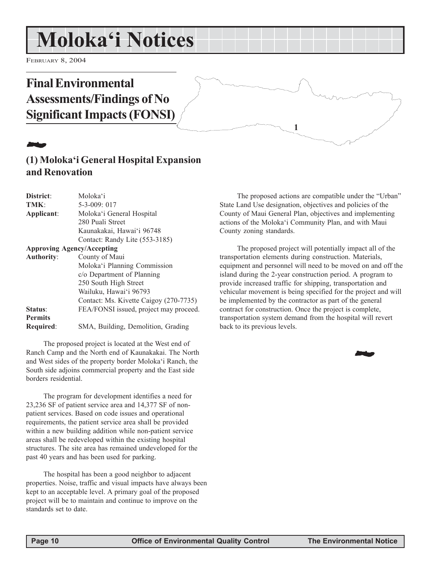## **Moloka'i Notices**

FEBRUARY 8, 2004

### **Final Environmental Assessments/Findings of No Significant Impacts (FONSI)**

## 22 July 1

#### **(1) Moloka'i General Hospital Expansion and Renovation**

| District:                         | Moloka'i                               |
|-----------------------------------|----------------------------------------|
| TMK:                              | $5 - 3 - 009$ : 017                    |
| Applicant:                        | Moloka'i General Hospital              |
|                                   | 280 Puali Street                       |
|                                   | Kaunakakai, Hawai'i 96748              |
|                                   | Contact: Randy Lite (553-3185)         |
| <b>Approving Agency/Accepting</b> |                                        |
| <b>Authority:</b>                 | County of Maui                         |
|                                   | Moloka'i Planning Commission           |
|                                   | c/o Department of Planning             |
|                                   | 250 South High Street                  |
|                                   | Wailuku, Hawai'i 96793                 |
|                                   | Contact: Ms. Kivette Caigoy (270-7735) |
| Status:                           | FEA/FONSI issued, project may proceed. |
| <b>Permits</b>                    |                                        |
| Required:                         | SMA, Building, Demolition, Grading     |

The proposed project is located at the West end of Ranch Camp and the North end of Kaunakakai. The North and West sides of the property border Moloka'i Ranch, the South side adjoins commercial property and the East side borders residential.

The program for development identifies a need for 23,236 SF of patient service area and 14,377 SF of nonpatient services. Based on code issues and operational requirements, the patient service area shall be provided within a new building addition while non-patient service areas shall be redeveloped within the existing hospital structures. The site area has remained undeveloped for the past 40 years and has been used for parking.

The hospital has been a good neighbor to adjacent properties. Noise, traffic and visual impacts have always been kept to an acceptable level. A primary goal of the proposed project will be to maintain and continue to improve on the standards set to date.

The proposed actions are compatible under the "Urban" State Land Use designation, objectives and policies of the County of Maui General Plan, objectives and implementing actions of the Moloka'i Community Plan, and with Maui County zoning standards.

**1**

The proposed project will potentially impact all of the transportation elements during construction. Materials, equipment and personnel will need to be moved on and off the island during the 2-year construction period. A program to provide increased traffic for shipping, transportation and vehicular movement is being specified for the project and will be implemented by the contractor as part of the general contract for construction. Once the project is complete, transportation system demand from the hospital will revert back to its previous levels.

2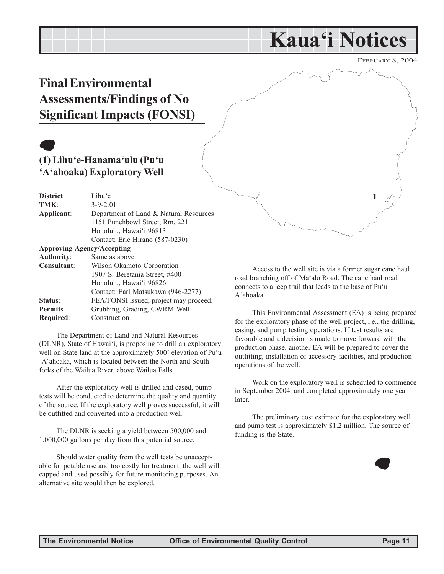## **Kaua'i Notices**

FEBRUARY 8, 2004

**1**

### **Final Environmental Assessments/Findings of No Significant Impacts (FONSI)**

## $\bullet$

#### **(1) Lihu'e-Hanama'ulu (Pu'u 'A'ahoaka) Exploratory Well**

| District:         | Lihu'e                                 |
|-------------------|----------------------------------------|
| TMK:              | $3 - 9 - 2:01$                         |
| Applicant:        | Department of Land & Natural Resources |
|                   | 1151 Punchbowl Street, Rm. 221         |
|                   | Honolulu, Hawai'i 96813                |
|                   | Contact: Eric Hirano (587-0230)        |
|                   | <b>Approving Agency/Accepting</b>      |
| <b>Authority:</b> | Same as above.                         |
| Consultant:       | Wilson Okamoto Corporation             |
|                   | 1907 S. Beretania Street, #400         |
|                   | Honolulu, Hawai'i 96826                |
|                   | Contact: Earl Matsukawa (946-2277)     |
| Status:           | FEA/FONSI issued, project may proceed. |
| <b>Permits</b>    | Grubbing, Grading, CWRM Well           |
| <b>Required:</b>  | Construction                           |

The Department of Land and Natural Resources (DLNR), State of Hawai'i, is proposing to drill an exploratory well on State land at the approximately 500' elevation of Pu'u 'A'ahoaka, which is located between the North and South forks of the Wailua River, above Wailua Falls.

After the exploratory well is drilled and cased, pump tests will be conducted to determine the quality and quantity of the source. If the exploratory well proves successful, it will be outfitted and converted into a production well.

The DLNR is seeking a yield between 500,000 and 1,000,000 gallons per day from this potential source.

Should water quality from the well tests be unacceptable for potable use and too costly for treatment, the well will capped and used possibly for future monitoring purposes. An alternative site would then be explored.

Access to the well site is via a former sugar cane haul road branching off of Ma'alo Road. The cane haul road connects to a jeep trail that leads to the base of Pu'u A'ahoaka.

This Environmental Assessment (EA) is being prepared for the exploratory phase of the well project, i.e., the drilling, casing, and pump testing operations. If test results are favorable and a decision is made to move forward with the production phase, another EA will be prepared to cover the outfitting, installation of accessory facilities, and production operations of the well.

Work on the exploratory well is scheduled to commence in September 2004, and completed approximately one year later.

The preliminary cost estimate for the exploratory well and pump test is approximately \$1.2 million. The source of funding is the State.

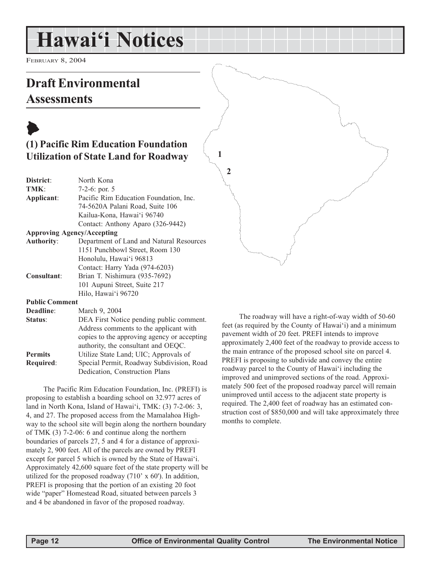## **Hawai'i Notices**

FEBRUARY 8, 2004

### **Draft Environmental Assessments**

### $\blacklozenge$ **(1) Pacific Rim Education Foundation Utilization of State Land for Roadway**

| District:                         | North Kona                               |  |
|-----------------------------------|------------------------------------------|--|
| TMK:                              | 7-2-6: por. $5$                          |  |
| Applicant:                        | Pacific Rim Education Foundation, Inc.   |  |
|                                   | 74-5620A Palani Road, Suite 106          |  |
|                                   | Kailua-Kona, Hawai'i 96740               |  |
|                                   | Contact: Anthony Aparo (326-9442)        |  |
| <b>Approving Agency/Accepting</b> |                                          |  |
| <b>Authority:</b>                 | Department of Land and Natural Resources |  |
|                                   | 1151 Punchbowl Street, Room 130          |  |
|                                   | Honolulu, Hawai'i 96813                  |  |
|                                   | Contact: Harry Yada (974-6203)           |  |
| <b>Consultant:</b>                | Brian T. Nishimura (935-7692)            |  |
|                                   | 101 Aupuni Street, Suite 217             |  |
|                                   | Hilo, Hawai'i 96720                      |  |
| <b>Public Comment</b>             |                                          |  |
| Deadline:                         | March 9, 2004                            |  |
| Status:                           | DEA First Notice pending public comment. |  |
|                                   |                                          |  |

|                | Address comments to the applicant with      |
|----------------|---------------------------------------------|
|                | copies to the approving agency or accepting |
|                | authority, the consultant and OEQC.         |
| <b>Permits</b> | Utilize State Land; UIC; Approvals of       |
| Required:      | Special Permit, Roadway Subdivision, Road   |
|                | Dedication, Construction Plans              |

The Pacific Rim Education Foundation, Inc. (PREFI) is proposing to establish a boarding school on 32.977 acres of land in North Kona, Island of Hawai'i, TMK: (3) 7-2-06: 3, 4, and 27. The proposed access from the Mamalahoa Highway to the school site will begin along the northern boundary of TMK (3) 7-2-06: 6 and continue along the northern boundaries of parcels 27, 5 and 4 for a distance of approximately 2, 900 feet. All of the parcels are owned by PREFI except for parcel 5 which is owned by the State of Hawai'i. Approximately 42,600 square feet of the state property will be utilized for the proposed roadway (710' x 60'). In addition, PREFI is proposing that the portion of an existing 20 foot wide "paper" Homestead Road, situated between parcels 3 and 4 be abandoned in favor of the proposed roadway.

The roadway will have a right-of-way width of 50-60 feet (as required by the County of Hawai'i) and a minimum pavement width of 20 feet. PREFI intends to improve approximately 2,400 feet of the roadway to provide access to the main entrance of the proposed school site on parcel 4. PREFI is proposing to subdivide and convey the entire roadway parcel to the County of Hawai'i including the improved and unimproved sections of the road. Approximately 500 feet of the proposed roadway parcel will remain unimproved until access to the adjacent state property is required. The 2,400 feet of roadway has an estimated construction cost of \$850,000 and will take approximately three months to complete.

**1**

**2**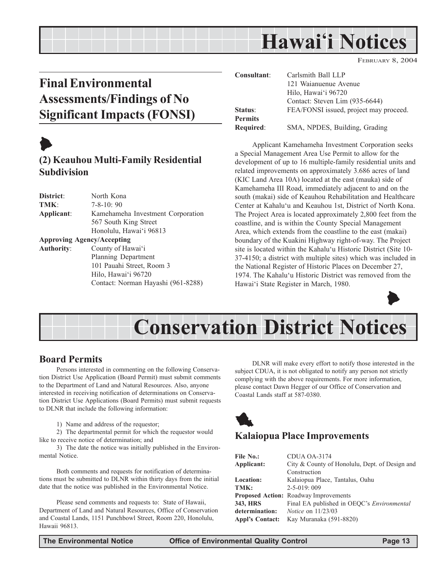## **Hawai'i Notices**

FEBRUARY 8, 2004

### **Final Environmental Assessments/Findings of No Significant Impacts (FONSI)**

## $\blacktriangleright$

#### **(2) Keauhou Multi-Family Residential Subdivision**

**District**: North Kona **TMK**: 7-8-10: 90 **Applicant**: Kamehameha Investment Corporation 567 South King Street Honolulu, Hawai'i 96813 **Approving Agency/Accepting Authority**: County of Hawai'i Planning Department 101 Pauahi Street, Room 3 Hilo, Hawai'i 96720 Contact: Norman Hayashi (961-8288)

| Consultant:      | Carlsmith Ball LLP                     |
|------------------|----------------------------------------|
|                  | 121 Waianuenue Avenue                  |
|                  | Hilo, Hawai'i 96720                    |
|                  | Contact: Steven Lim (935-6644)         |
| Status:          | FEA/FONSI issued, project may proceed. |
| <b>Permits</b>   |                                        |
| <b>Required:</b> | SMA, NPDES, Building, Grading          |

Applicant Kamehameha Investment Corporation seeks a Special Management Area Use Permit to allow for the development of up to 16 multiple-family residential units and related improvements on approximately 3.686 acres of land (KIC Land Area 10A) located at the east (mauka) side of Kamehameha III Road, immediately adjacent to and on the south (makai) side of Keauhou Rehabilitation and Healthcare Center at Kahalu'u and Keauhou 1st, District of North Kona. The Project Area is located approximately 2,800 feet from the coastline, and is within the County Special Management Area, which extends from the coastline to the east (makai) boundary of the Kuakini Highway right-of-way. The Project site is located within the Kahalu'u Historic District (Site 10- 37-4150; a district with multiple sites) which was included in the National Register of Historic Places on December 27, 1974. The Kahalu'u Historic District was removed from the Hawai'i State Register in March, 1980.





#### **Board Permits**

Persons interested in commenting on the following Conservation District Use Application (Board Permit) must submit comments to the Department of Land and Natural Resources. Also, anyone interested in receiving notification of determinations on Conservation District Use Applications (Board Permits) must submit requests to DLNR that include the following information:

1) Name and address of the requestor;

2) The departmental permit for which the requestor would like to receive notice of determination; and

3) The date the notice was initially published in the Environmental Notice.

Both comments and requests for notification of determinations must be submitted to DLNR within thirty days from the initial date that the notice was published in the Environmental Notice.

Please send comments and requests to: State of Hawaii, Department of Land and Natural Resources, Office of Conservation and Coastal Lands, 1151 Punchbowl Street, Room 220, Honolulu, Hawaii 96813.

DLNR will make every effort to notify those interested in the subject CDUA, it is not obligated to notify any person not strictly complying with the above requirements. For more information, please contact Dawn Hegger of our Office of Conservation and Coastal Lands staff at 587-0380.



#### **Kalaiopua Place Improvements**

| File No.:              | CDUA OA-3174                                      |
|------------------------|---------------------------------------------------|
| Applicant:             | City & County of Honolulu, Dept. of Design and    |
|                        | Construction                                      |
| <b>Location:</b>       | Kalaiopua Place, Tantalus, Oahu                   |
| TMK:                   | $2 - 5 - 019$ : 009                               |
|                        | <b>Proposed Action: Roadway Improvements</b>      |
| 343. HRS               | Final EA published in OEOC's <i>Environmental</i> |
| determination:         | <i>Notice</i> on $11/23/03$                       |
| <b>Appl's Contact:</b> | Kay Muranaka (591-8820)                           |
|                        |                                                   |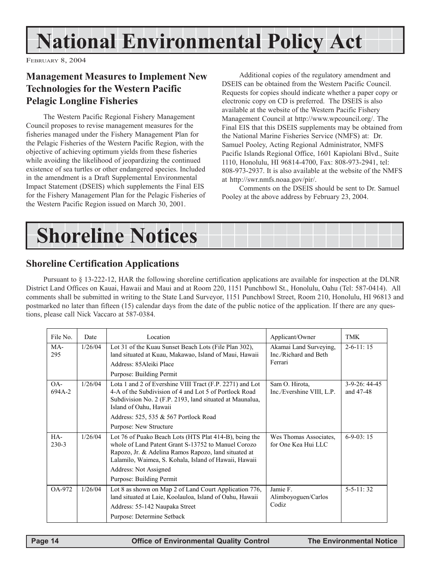# **National Environmental Policy Act**

FEBRUARY 8, 2004

#### **Management Measures to Implement New Technologies for the Western Pacific Pelagic Longline Fisheries**

The Western Pacific Regional Fishery Management Council proposes to revise management measures for the fisheries managed under the Fishery Management Plan for the Pelagic Fisheries of the Western Pacific Region, with the objective of achieving optimum yields from these fisheries while avoiding the likelihood of jeopardizing the continued existence of sea turtles or other endangered species. Included in the amendment is a Draft Supplemental Environmental Impact Statement (DSEIS) which supplements the Final EIS for the Fishery Management Plan for the Pelagic Fisheries of the Western Pacific Region issued on March 30, 2001.

Additional copies of the regulatory amendment and DSEIS can be obtained from the Western Pacific Council. Requests for copies should indicate whether a paper copy or electronic copy on CD is preferred. The DSEIS is also available at the website of the Western Pacific Fishery Management Council at http://www.wpcouncil.org/. The Final EIS that this DSEIS supplements may be obtained from the National Marine Fisheries Service (NMFS) at: Dr. Samuel Pooley, Acting Regional Administrator, NMFS Pacific Islands Regional Office, 1601 Kapiolani Blvd., Suite 1110, Honolulu, HI 96814-4700, Fax: 808-973-2941, tel: 808-973-2937. It is also available at the website of the NMFS at http://swr.nmfs.noaa.gov/pir/.

Comments on the DSEIS should be sent to Dr. Samuel Pooley at the above address by February 23, 2004.



#### **Shoreline Certification Applications**

Pursuant to § 13-222-12, HAR the following shoreline certification applications are available for inspection at the DLNR District Land Offices on Kauai, Hawaii and Maui and at Room 220, 1151 Punchbowl St., Honolulu, Oahu (Tel: 587-0414). All comments shall be submitted in writing to the State Land Surveyor, 1151 Punchbowl Street, Room 210, Honolulu, HI 96813 and postmarked no later than fifteen (15) calendar days from the date of the public notice of the application. If there are any questions, please call Nick Vaccaro at 587-0384.

| File No.         | Date    | Location                                                                                                                                                                                                                                                                            | Applicant/Owner                                            | <b>TMK</b>                    |
|------------------|---------|-------------------------------------------------------------------------------------------------------------------------------------------------------------------------------------------------------------------------------------------------------------------------------------|------------------------------------------------------------|-------------------------------|
| MA-<br>295       | 1/26/04 | Lot 31 of the Kuau Sunset Beach Lots (File Plan 302),<br>land situated at Kuau, Makawao, Island of Maui, Hawaii<br>Address: 85 Aleiki Place<br>Purpose: Building Permit                                                                                                             | Akamai Land Surveying,<br>Inc./Richard and Beth<br>Ferrari | $2-6-11:15$                   |
| OA-<br>694A-2    | 1/26/04 | Lota 1 and 2 of Evershine VIII Tract (F.P. 2271) and Lot<br>4-A of the Subdivision of 4 and Lot 5 of Portlock Road<br>Subdivision No. 2 (F.P. 2193, land situated at Maunalua,<br>Island of Oahu, Hawaii                                                                            | Sam O. Hirota,<br>Inc./Evershine VIII, L.P.                | $3-9-26$ : 44-45<br>and 47-48 |
|                  |         | Address: 525, 535 & 567 Portlock Road                                                                                                                                                                                                                                               |                                                            |                               |
|                  |         | Purpose: New Structure                                                                                                                                                                                                                                                              |                                                            |                               |
| HA-<br>$230 - 3$ | 1/26/04 | Lot 76 of Puako Beach Lots (HTS Plat 414-B), being the<br>whole of Land Patent Grant S-13752 to Manuel Corozo<br>Rapozo, Jr. & Adelina Ramos Rapozo, land situated at<br>Lalamilo, Waimea, S. Kohala, Island of Hawaii, Hawaii<br>Address: Not Assigned<br>Purpose: Building Permit | Wes Thomas Associates.<br>for One Kea Hui LLC              | $6-9-03:15$                   |
| OA-972           | 1/26/04 | Lot 8 as shown on Map 2 of Land Court Application 776,                                                                                                                                                                                                                              | Jamie F.                                                   | $5 - 5 - 11$ : 32             |
|                  |         | land situated at Laie, Koolauloa, Island of Oahu, Hawaii                                                                                                                                                                                                                            | Alimboyoguen/Carlos                                        |                               |
|                  |         | Address: 55-142 Naupaka Street                                                                                                                                                                                                                                                      | Codiz                                                      |                               |
|                  |         | Purpose: Determine Setback                                                                                                                                                                                                                                                          |                                                            |                               |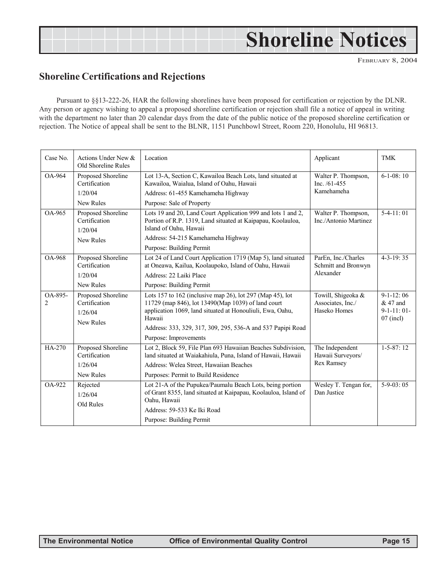# **Shoreline Notices**

FEBRUARY 8, 2004

#### **Shoreline Certifications and Rejections**

Pursuant to §§13-222-26, HAR the following shorelines have been proposed for certification or rejection by the DLNR. Any person or agency wishing to appeal a proposed shoreline certification or rejection shall file a notice of appeal in writing with the department no later than 20 calendar days from the date of the public notice of the proposed shoreline certification or rejection. The Notice of appeal shall be sent to the BLNR, 1151 Punchbowl Street, Room 220, Honolulu, HI 96813.

| Case No.                  | Actions Under New &<br>Old Shoreline Rules                         | Location                                                                                                                                                                                                                                                                       | Applicant                                                 | <b>TMK</b>                                              |
|---------------------------|--------------------------------------------------------------------|--------------------------------------------------------------------------------------------------------------------------------------------------------------------------------------------------------------------------------------------------------------------------------|-----------------------------------------------------------|---------------------------------------------------------|
| <b>OA-964</b>             | Proposed Shoreline<br>Certification<br>1/20/04<br><b>New Rules</b> | Lot 13-A, Section C, Kawailoa Beach Lots, land situated at<br>Kawailoa, Waialua, Island of Oahu, Hawaii<br>Address: 61-455 Kamehameha Highway<br>Purpose: Sale of Property                                                                                                     | Walter P. Thompson,<br>Inc. $/61-455$<br>Kamehameha       | $6-1-08:10$                                             |
| OA-965                    | Proposed Shoreline<br>Certification<br>1/20/04<br>New Rules        | Lots 19 and 20, Land Court Application 999 and lots 1 and 2,<br>Portion of R.P. 1319, Land situated at Kaipapau, Koolauloa,<br>Island of Oahu, Hawaii<br>Address: 54-215 Kamehameha Highway<br>Purpose: Building Permit                                                        | Walter P. Thompson,<br>Inc./Antonio Martinez              | $5-4-11:01$                                             |
| OA-968                    | Proposed Shoreline<br>Certification<br>1/20/04<br>New Rules        | Lot 24 of Land Court Application 1719 (Map 5), land situated<br>at Oneawa, Kailua, Koolaupoko, Island of Oahu, Hawaii<br>Address: 22 Laiki Place<br>Purpose: Building Permit                                                                                                   | ParEn, Inc./Charles<br>Schmitt and Bronwyn<br>Alexander   | $4 - 3 - 19:35$                                         |
| OA-895-<br>$\overline{c}$ | Proposed Shoreline<br>Certification<br>1/26/04<br>New Rules        | Lots 157 to 162 (inclusive map 26), lot 297 (Map 45), lot<br>11729 (map 846), lot 13490(Map 1039) of land court<br>application 1069, land situated at Honouliuli, Ewa, Oahu,<br>Hawaii<br>Address: 333, 329, 317, 309, 295, 536-A and 537 Papipi Road<br>Purpose: Improvements | Towill, Shigeoka &<br>Associates, Inc./<br>Haseko Homes   | $9-1-12:06$<br>$&47$ and<br>$9-1-11:01-$<br>$07$ (incl) |
| HA-270                    | Proposed Shoreline<br>Certification<br>1/26/04<br><b>New Rules</b> | Lot 2, Block 59, File Plan 693 Hawaiian Beaches Subdivision,<br>land situated at Waiakahiula, Puna, Island of Hawaii, Hawaii<br>Address: Welea Street, Hawaiian Beaches<br>Purposes: Permit to Build Residence                                                                 | The Independent<br>Hawaii Surveyors/<br><b>Rex Ramsey</b> | $1-5-87:12$                                             |
| OA-922                    | Rejected<br>1/26/04<br>Old Rules                                   | Lot 21-A of the Pupukea/Paumalu Beach Lots, being portion<br>of Grant 8355, land situated at Kaipapau, Koolauloa, Island of<br>Oahu, Hawaii<br>Address: 59-533 Ke Iki Road<br>Purpose: Building Permit                                                                         | Wesley T. Tengan for,<br>Dan Justice                      | $5-9-03:05$                                             |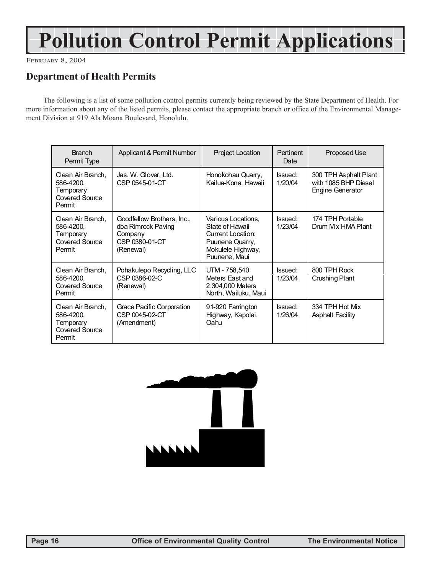# **Pollution Control Permit Applications**

FEBRUARY 8, 2004

#### **Department of Health Permits**

The following is a list of some pollution control permits currently being reviewed by the State Department of Health. For more information about any of the listed permits, please contact the appropriate branch or office of the Environmental Management Division at 919 Ala Moana Boulevard, Honolulu.

| <b>Branch</b><br>Permit Type                                                   | Applicant & Permit Number                                                                  | <b>Project Location</b>                                                                                             | <b>Pertinent</b><br>Date | Proposed Use                                                             |
|--------------------------------------------------------------------------------|--------------------------------------------------------------------------------------------|---------------------------------------------------------------------------------------------------------------------|--------------------------|--------------------------------------------------------------------------|
| Clean Air Branch,<br>586-4200,<br>Temporary<br>Covered Source<br>Permit        | Jas. W. Glover, Ltd.<br>CSP 0545-01-CT                                                     | Honokohau Quarry,<br>Kailua-Kona, Hawaii                                                                            | Issued:<br>1/20/04       | 300 TPH Asphalt Plant<br>with 1085 BHP Diesel<br><b>Engine Generator</b> |
| Clean Air Branch.<br>586-4200.<br>Temporary<br><b>Covered Source</b><br>Permit | Goodfellow Brothers, Inc.,<br>dba Rimrock Paving<br>Company<br>CSP 0380-01-CT<br>(Renewal) | Various Locations,<br>State of Hawaii<br>Current Location:<br>Puunene Quarry,<br>Mokulele Highway,<br>Puunene, Maui | Issued:<br>1/23/04       | 174 TPH Portable<br>Drum Mix HMA Plant                                   |
| Clean Air Branch.<br>586-4200.<br><b>Covered Source</b><br>Permit              | Pohakulepo Recycling, LLC<br>CSP 0386-02-C<br>(Renewal)                                    | UTM - 758,540<br>Meters East and<br>2,304,000 Meters<br>North, Wailuku, Maui                                        | Issued:<br>1/23/04       | 800 TPH Rock<br>Crushing Plant                                           |
| Clean Air Branch.<br>586-4200,<br>Temporary<br>Covered Source<br>Permit        | Grace Pacific Corporation<br>CSP 0045-02-CT<br>(Amendment)                                 | 91-920 Farrington<br>Highway, Kapolei,<br>Oahu                                                                      | Issued:<br>1/26/04       | 334 TPH Hot Mix<br><b>Asphalt Facility</b>                               |

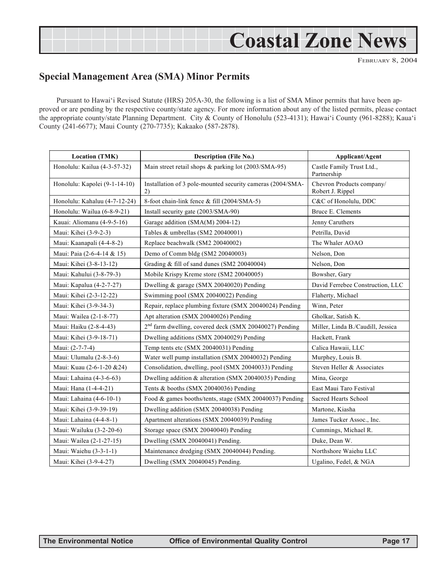# **Coastal Zone News**

FEBRUARY 8, 2004

#### **Special Management Area (SMA) Minor Permits**

Pursuant to Hawai'i Revised Statute (HRS) 205A-30, the following is a list of SMA Minor permits that have been approved or are pending by the respective county/state agency. For more information about any of the listed permits, please contact the appropriate county/state Planning Department. City & County of Honolulu (523-4131); Hawai'i County (961-8288); Kaua'i County (241-6677); Maui County (270-7735); Kakaako (587-2878).

| <b>Location (TMK)</b>         | <b>Description (File No.)</b>                                      | Applicant/Agent                               |
|-------------------------------|--------------------------------------------------------------------|-----------------------------------------------|
| Honolulu: Kailua (4-3-57-32)  | Main street retail shops & parking lot (2003/SMA-95)               | Castle Family Trust Ltd.,<br>Partnership      |
| Honolulu: Kapolei (9-1-14-10) | Installation of 3 pole-mounted security cameras (2004/SMA-<br>2)   | Chevron Products company/<br>Robert J. Rippel |
| Honolulu: Kahaluu (4-7-12-24) | 8-foot chain-link fence & fill (2004/SMA-5)                        | C&C of Honolulu, DDC                          |
| Honolulu: Wailua (6-8-9-21)   | Install security gate (2003/SMA-90)                                | Bruce E. Clements                             |
| Kauai: Aliomanu (4-9-5-16)    | Garage addition (SMA(M) 2004-12)                                   | Jenny Caruthers                               |
| Maui: Kihei (3-9-2-3)         | Tables & umbrellas (SM2 20040001)                                  | Petrilla, David                               |
| Maui: Kaanapali (4-4-8-2)     | Replace beachwalk (SM2 20040002)                                   | The Whaler AOAO                               |
| Maui: Paia (2-6-4-14 & 15)    | Demo of Comm bldg (SM2 20040003)                                   | Nelson, Don                                   |
| Maui: Kihei (3-8-13-12)       | Grading & fill of sand dunes (SM2 20040004)                        | Nelson, Don                                   |
| Maui: Kahului (3-8-79-3)      | Mobile Krispy Kreme store (SM2 20040005)                           | Bowsher, Gary                                 |
| Maui: Kapalua (4-2-7-27)      | Dwelling & garage (SMX 20040020) Pending                           | David Ferrebee Construction, LLC              |
| Maui: Kihei (2-3-12-22)       | Swimming pool (SMX 20040022) Pending                               | Flaherty, Michael                             |
| Maui: Kihei (3-9-34-3)        | Repair, replace plumbing fixture (SMX 20040024) Pending            | Winn, Peter                                   |
| Maui: Wailea (2-1-8-77)       | Apt alteration (SMX 20040026) Pending                              | Gholkar, Satish K.                            |
| Maui: Haiku (2-8-4-43)        | 2 <sup>nd</sup> farm dwelling, covered deck (SMX 20040027) Pending | Miller, Linda B./Caudill, Jessica             |
| Maui: Kihei (3-9-18-71)       | Dwelling additions (SMX 20040029) Pending                          | Hackett, Frank                                |
| Maui: (2-7-7-4)               | Temp tents etc (SMX 20040031) Pending                              | Calica Hawaii, LLC                            |
| Maui: Ulumalu (2-8-3-6)       | Water well pump installation (SMX 20040032) Pending                | Murphey, Louis B.                             |
| Maui: Kuau (2-6-1-20 & 24)    | Consolidation, dwelling, pool (SMX 20040033) Pending               | Steven Heller & Associates                    |
| Maui: Lahaina (4-3-6-63)      | Dwelling addition & alteration (SMX 20040035) Pending              | Mina, George                                  |
| Maui: Hana (1-4-4-21)         | Tents & booths (SMX 20040036) Pending                              | East Maui Taro Festival                       |
| Maui: Lahaina (4-6-10-1)      | Food & games booths/tents, stage (SMX 20040037) Pending            | Sacred Hearts School                          |
| Maui: Kihei (3-9-39-19)       | Dwelling addition (SMX 20040038) Pending                           | Martone, Kiasha                               |
| Maui: Lahaina (4-4-8-1)       | Apartment alterations (SMX 20040039) Pending                       | James Tucker Assoc., Inc.                     |
| Maui: Wailuku (3-2-20-6)      | Storage space (SMX 20040040) Pending                               | Cummings, Michael R.                          |
| Maui: Wailea (2-1-27-15)      | Dwelling (SMX 20040041) Pending.                                   | Duke, Dean W.                                 |
| Maui: Waiehu (3-3-1-1)        | Maintenance dredging (SMX 20040044) Pending.                       | Northshore Waiehu LLC                         |
| Maui: Kihei (3-9-4-27)        | Dwelling (SMX 20040045) Pending.                                   | Ugalino, Fedel, & NGA                         |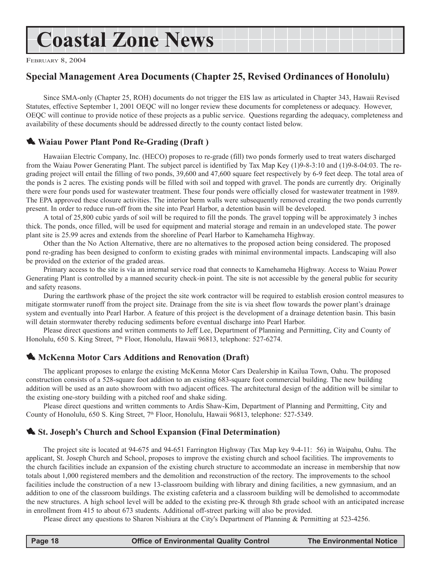## **Coastal Zone News**

FEBRUARY 8, 2004

#### **Special Management Area Documents (Chapter 25, Revised Ordinances of Honolulu)**

Since SMA-only (Chapter 25, ROH) documents do not trigger the EIS law as articulated in Chapter 343, Hawaii Revised Statutes, effective September 1, 2001 OEQC will no longer review these documents for completeness or adequacy. However, OEQC will continue to provide notice of these projects as a public service. Questions regarding the adequacy, completeness and availability of these documents should be addressed directly to the county contact listed below.

#### 1 **Waiau Power Plant Pond Re-Grading (Draft )**

Hawaiian Electric Company, Inc. (HECO) proposes to re-grade (fill) two ponds formerly used to treat waters discharged from the Waiau Power Generating Plant. The subject parcel is identified by Tax Map Key (1)9-8-3:10 and (1)9-8-04:03. The regrading project will entail the filling of two ponds, 39,600 and 47,600 square feet respectively by 6-9 feet deep. The total area of the ponds is 2 acres. The existing ponds will be filled with soil and topped with gravel. The ponds are currently dry. Originally there were four ponds used for wastewater treatment. These four ponds were officially closed for wastewater treatment in 1989. The EPA approved these closure activities. The interior berm walls were subsequently removed creating the two ponds currently present. In order to reduce run-off from the site into Pearl Harbor, a detention basin will be developed.

A total of 25,800 cubic yards of soil will be required to fill the ponds. The gravel topping will be approximately 3 inches thick. The ponds, once filled, will be used for equipment and material storage and remain in an undeveloped state. The power plant site is 25.99 acres and extends from the shoreline of Pearl Harbor to Kamehameha Highway.

Other than the No Action Alternative, there are no alternatives to the proposed action being considered. The proposed pond re-grading has been designed to conform to existing grades with minimal environmental impacts. Landscaping will also be provided on the exterior of the graded areas.

Primary access to the site is via an internal service road that connects to Kamehameha Highway. Access to Waiau Power Generating Plant is controlled by a manned security check-in point. The site is not accessible by the general public for security and safety reasons.

During the earthwork phase of the project the site work contractor will be required to establish erosion control measures to mitigate stormwater runoff from the project site. Drainage from the site is via sheet flow towards the power plant's drainage system and eventually into Pearl Harbor. A feature of this project is the development of a drainage detention basin. This basin will detain stormwater thereby reducing sediments before eventual discharge into Pearl Harbor.

Please direct questions and written comments to Jeff Lee, Department of Planning and Permitting, City and County of Honolulu, 650 S. King Street, 7<sup>th</sup> Floor, Honolulu, Hawaii 96813, telephone: 527-6274.

#### **1. McKenna Motor Cars Additions and Renovation (Draft)**

The applicant proposes to enlarge the existing McKenna Motor Cars Dealership in Kailua Town, Oahu. The proposed construction consists of a 528-square foot addition to an existing 683-square foot commercial building. The new building addition will be used as an auto showroom with two adjacent offices. The architectural design of the addition will be similar to the existing one-story building with a pitched roof and shake siding.

Please direct questions and written comments to Ardis Shaw-Kim, Department of Planning and Permitting, City and County of Honolulu, 650 S. King Street, 7<sup>th</sup> Floor, Honolulu, Hawaii 96813, telephone: 527-5349.

#### **1.** St. Joseph's Church and School Expansion (Final Determination)

The project site is located at 94-675 and 94-651 Farrington Highway (Tax Map key 9-4-11: 56) in Waipahu, Oahu. The applicant, St. Joseph Church and School, proposes to improve the existing church and school facilities. The improvements to the church facilities include an expansion of the existing church structure to accommodate an increase in membership that now totals about 1,000 registered members and the demolition and reconstruction of the rectory. The improvements to the school facilities include the construction of a new 13-classroom building with library and dining facilities, a new gymnasium, and an addition to one of the classroom buildings. The existing cafeteria and a classroom building will be demolished to accommodate the new structures. A high school level will be added to the existing pre-K through 8th grade school with an anticipated increase in enrollment from 415 to about 673 students. Additional off-street parking will also be provided.

Please direct any questions to Sharon Nishiura at the City's Department of Planning & Permitting at 523-4256.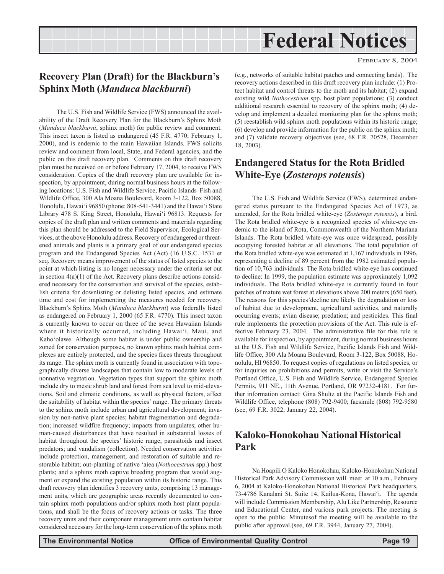## **Federal Notices**

#### **Recovery Plan (Draft) for the Blackburn's Sphinx Moth (***Manduca blackburni***)**

The U.S. Fish and Wildlife Service (FWS) announced the availability of the Draft Recovery Plan for the Blackburn's Sphinx Moth (*Manduca blackburni*, sphinx moth) for public review and comment. This insect taxon is listed as endangered (45 F.R. 4770; February 1, 2000), and is endemic to the main Hawaiian Islands. FWS solicits review and comment from local, State, and Federal agencies, and the public on this draft recovery plan. Comments on this draft recovery plan must be received on or before February 17, 2004, to receive FWS consideration. Copies of the draft recovery plan are available for inspection, by appointment, during normal business hours at the following locations: U.S. Fish and Wildlife Service, Pacific Islands Fish and Wildlife Office, 300 Ala Moana Boulevard, Room 3-122, Box 50088, Honolulu, Hawai'i 96850 (phone: 808-541-3441) and the Hawai'i State Library 478 S. King Street, Honolulu, Hawai'i 96813. Requests for copies of the draft plan and written comments and materials regarding this plan should be addressed to the Field Supervisor, Ecological Services, at the above Honolulu address. Recovery of endangered or threatened animals and plants is a primary goal of our endangered species program and the Endangered Species Act (Act) (16 U.S.C. 1531 et seq. Recovery means improvement of the status of listed species to the point at which listing is no longer necessary under the criteria set out in section  $4(a)(1)$  of the Act. Recovery plans describe actions considered necessary for the conservation and survival of the species, establish criteria for downlisting or delisting listed species, and estimate time and cost for implementing the measures needed for recovery. Blackburn's Sphinx Moth (*Manduca blackburni*) was federally listed as endangered on February 1, 2000 (65 F.R. 4770). This insect taxon is currently known to occur on three of the seven Hawaiian Islands where it historically occurred, including Hawai'i, Maui, and Kaho'olawe. Although some habitat is under public ownership and zoned for conservation purposes, no known sphinx moth habitat complexes are entirely protected, and the species faces threats throughout its range. The sphinx moth is currently found in association with topographically diverse landscapes that contain low to moderate levels of nonnative vegetation. Vegetation types that support the sphinx moth include dry to mesic shrub land and forest from sea level to mid-elevations. Soil and climatic conditions, as well as physical factors, affect the suitability of habitat within the species' range. The primary threats to the sphinx moth include urban and agricultural development; invasion by non-native plant species; habitat fragmentation and degradation; increased wildfire frequency; impacts from ungulates; other human-caused disturbances that have resulted in substantial losses of habitat throughout the species' historic range; parasitoids and insect predators; and vandalism (collection). Needed conservation activities include protection, management, and restoration of suitable and restorable habitat; out-planting of native 'aiea (*Nothocestrum* spp.) host plants; and a sphinx moth captive breeding program that would augment or expand the existing population within its historic range. This draft recovery plan identifies 3 recovery units, comprising 13 management units, which are geographic areas recently documented to contain sphinx moth populations and/or sphinx moth host plant populations, and shall be the focus of recovery actions or tasks. The three recovery units and their component management units contain habitat considered necessary for the long-term conservation of the sphinx moth

(e.g., networks of suitable habitat patches and connecting lands). The recovery actions described in this draft recovery plan include: (1) Protect habitat and control threats to the moth and its habitat; (2) expand existing wild *Nothocestrum* spp. host plant populations; (3) conduct additional research essential to recovery of the sphinx moth; (4) develop and implement a detailed monitoring plan for the sphinx moth; (5) reestablish wild sphinx moth populations within its historic range; (6) develop and provide information for the public on the sphinx moth; and (7) validate recovery objectives (see, 68 F.R. 70528, December 18, 2003).

#### **Endangered Status for the Rota Bridled White-Eye (***Zosterops rotensis***)**

The U.S. Fish and Wildlife Service (FWS), determined endangered status pursuant to the Endangered Species Act of 1973, as amended, for the Rota bridled white-eye (*Zosterops rotensis*), a bird. The Rota bridled white-eye is a recognized species of white-eye endemic to the island of Rota, Commonwealth of the Northern Mariana Islands. The Rota bridled white-eye was once widespread, possibly occupying forested habitat at all elevations. The total population of the Rota bridled white-eye was estimated at 1,167 individuals in 1996, representing a decline of 89 percent from the 1982 estimated population of 10,763 individuals. The Rota bridled white-eye has continued to decline: In 1999, the population estimate was approximately 1,092 individuals. The Rota bridled white-eye is currently found in four patches of mature wet forest at elevations above 200 meters (650 feet). The reasons for this species'decline are likely the degradation or loss of habitat due to development, agricultural activities, and naturally occurring events; avian disease; predation; and pesticides. This final rule implements the protection provisions of the Act. This rule is effective February 23, 2004. The administrative file for this rule is available for inspection, by appointment, during normal business hours at the U.S. Fish and Wildlife Service, Pacific Islands Fish and Wildlife Office, 300 Ala Moana Boulevard, Room 3-122, Box 50088, Honolulu, HI 96850. To request copies of regulations on listed species, or for inquiries on prohibitions and permits, write or visit the Service's Portland Office, U.S. Fish and Wildlife Service, Endangered Species Permits, 911 NE., 11th Avenue, Portland, OR 97232-4181. For further information contact: Gina Shultz at the Pacific Islands Fish and Wildlife Office, telephone (808) 792-9400; facsimile (808) 792-9580 (see, 69 F.R. 3022, January 22, 2004).

#### **Kaloko-Honokohau National Historical Park**

Na Hoapili O Kaloko Honokohau, Kaloko-Honokohau National Historical Park Advisory Commission will meet at 10 a.m., February 6, 2004 at Kaloko-Honokohau National Historical Park headquarters, 73-4786 Kanalani St. Suite 14, Kailua-Kona, Hawai'i. The agenda will include Commission Membership, Alu Like Partnership, Resource and Educational Center, and various park projects. The meeting is open to the public. Minutesof the meeting will be available to the public after approval.(see, 69 F.R. 3944, January 27, 2004).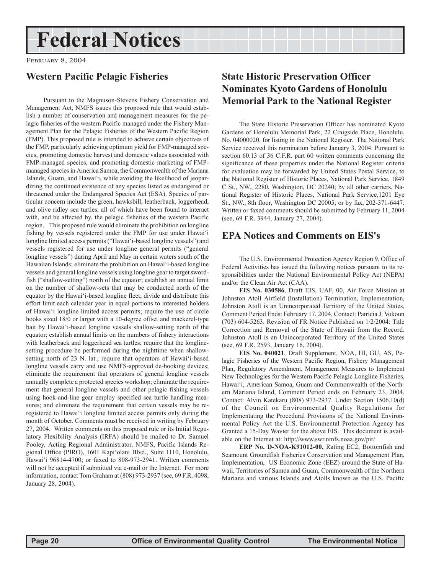## **Federal Notices**

FEBRUARY 8, 2004

#### **Western Pacific Pelagic Fisheries**

Pursuant to the Magnuson-Stevens Fishery Conservation and Management Act, NMFS issues this proposed rule that would establish a number of conservation and management measures for the pelagic fisheries of the western Pacific managed under the Fishery Management Plan for the Pelagic Fisheries of the Western Pacific Region (FMP). This proposed rule is intended to achieve certain objectives of the FMP, particularly achieving optimum yield for FMP-managed species, promoting domestic harvest and domestic values associated with FMP-managed species, and promoting domestic marketing of FMPmanaged species in America Samoa, the Commonwealth of the Mariana Islands, Guam, and Hawai'i, while avoiding the likelihood of jeopardizing the continued existence of any species listed as endangered or threatened under the Endangered Species Act (ESA). Species of particular concern include the green, hawksbill, leatherback, loggerhead, and olive ridley sea turtles, all of which have been found to interact with, and be affected by, the pelagic fisheries of the western Pacific region. This proposed rule would eliminate the prohibition on longline fishing by vessels registered under the FMP for use under Hawai'i longline limited access permits ("Hawai'i-based longline vessels") and vessels registered for use under longline general permits ("general longline vessels") during April and May in certain waters south of the Hawaiian Islands; eliminate the prohibition on Hawai'i-based longline vessels and general longline vessels using longline gear to target swordfish ("shallow-setting") north of the equator; establish an annual limit on the number of shallow-sets that may be conducted north of the equator by the Hawai'i-based longline fleet; divide and distribute this effort limit each calendar year in equal portions to interested holders of Hawai'i longline limited access permits; require the use of circle hooks sized 18/0 or larger with a 10-degree offset and mackerel-type bait by Hawai'i-based longline vessels shallow-setting north of the equator; establish annual limits on the numbers of fishery interactions with leatherback and loggerhead sea turtles; require that the longlinesetting procedure be performed during the nighttime when shallowsetting north of 23 N. lat.; require that operators of Hawai'i-based longline vessels carry and use NMFS-approved de-hooking devices; eliminate the requirement that operators of general longline vessels annually complete a protected species workshop; eliminate the requirement that general longline vessels and other pelagic fishing vessels using hook-and-line gear employ specified sea turtle handling measures; and eliminate the requirement that certain vessels may be reregistered to Hawai'i longline limited access permits only during the month of October. Comments must be received in writing by February 27, 2004. Written comments on this proposed rule or its Initial Regulatory Flexibility Analysis (IRFA) should be mailed to Dr. Samuel Pooley, Acting Regional Administrator, NMFS, Pacific Islands Regional Office (PIRO), 1601 Kapi'olani Blvd., Suite 1110, Honolulu, Hawai'i 96814-4700; or faxed to 808-973-2941. Written comments will not be accepted if submitted via e-mail or the Internet. For more information, contact Tom Graham at (808) 973-2937 (see, 69 F.R. 4098, January 28, 2004).

#### **State Historic Preservation Officer Nominates Kyoto Gardens of Honolulu Memorial Park to the National Register**

The State Historic Preservation Officer has nominated Kyoto Gardens of Honolulu Memorial Park, 22 Craigside Place, Honolulu, No. 04000020, for listing in the National Register. The National Park Service received this nomination before January 3, 2004. Pursuant to section 60.13 of 36 C.F.R. part 60 written comments concerning the significance of these properties under the National Register criteria for evaluation may be forwarded by United States Postal Service, to the National Register of Historic Places, National Park Service, 1849 C St., NW., 2280, Washington, DC 20240; by all other carriers, National Register of Historic Places, National Park Service,1201 Eye St., NW., 8th floor, Washington DC 20005; or by fax, 202-371-6447. Written or faxed comments should be submitted by February 11, 2004 (see, 69 F.R. 3944, January 27, 2004).

#### **EPA Notices and Comments on EIS's**

The U.S. Environmental Protection Agency Region 9, Office of Federal Activities has issued the following notices pursuant to its responsibilities under the National Environmental Policy Act (NEPA) and/or the Clean Air Act (CAA).

**EIS No. 030586**, Draft EIS, UAF, 00, Air Force Mission at Johnston Atoll Airfield (Installation) Termination, Implementation, Johnston Atoll is an Unincorporated Territory of the United States, Comment Period Ends: February 17, 2004, Contact: Patricia J. Vokoun (703) 604-5263. Revision of FR Notice Published on 1/2/2004: Title Correction and Removal of the State of Hawaii from the Record. Johnston Atoll is an Unincorporated Territory of the United States (see, 69 F.R. 2593, January 16, 2004).

**EIS No. 040021**, Draft Supplement, NOA, HI, GU, AS, Pelagic Fisheries of the Western Pacific Region, Fishery Management Plan, Regulatory Amendment, Management Measures to Implement New Technologies for the Western Pacific Pelagic Longline Fisheries, Hawai'i, American Samoa, Guam and Commonwealth of the Northern Mariana Island, Comment Period ends on February 23, 2004. Contact: Alvin Katekaru (808) 973-2937. Under Section 1506.10(d) of the Council on Environmental Quality Regulations for Implementating the Procedural Provisions of the National Environmental Policy Act the U.S. Environmental Protection Agency has Granted a 15-Day Wavier for the above EIS. This document is available on the Internet at: http://www.swr.nmfs.noaa.gov/pir/

**ERP No. D-NOA-K91012-00,** Rating EC2, Bottomfish and Seamount Groundfish Fisheries Conservation and Management Plan, Implementation, US Economic Zone (EEZ) around the State of Hawaii, Territories of Samoa and Guam, Commonwealth of the Northern Mariana and various Islands and Atolls known as the U.S. Pacific